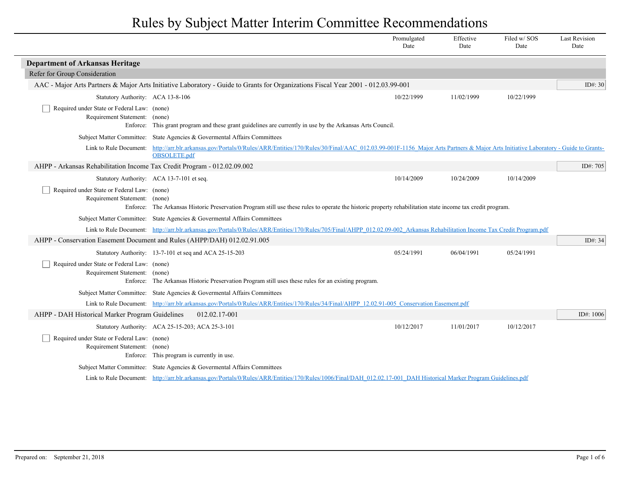|                                                                              |                                                                                                                                                                                                                      | Promulgated<br>Date | Effective<br>Date | Filed w/SOS<br>Date | <b>Last Revision</b><br>Date |
|------------------------------------------------------------------------------|----------------------------------------------------------------------------------------------------------------------------------------------------------------------------------------------------------------------|---------------------|-------------------|---------------------|------------------------------|
| <b>Department of Arkansas Heritage</b>                                       |                                                                                                                                                                                                                      |                     |                   |                     |                              |
| Refer for Group Consideration                                                |                                                                                                                                                                                                                      |                     |                   |                     |                              |
|                                                                              | AAC - Major Arts Partners & Major Arts Initiative Laboratory - Guide to Grants for Organizations Fiscal Year 2001 - 012.03.99-001                                                                                    |                     |                   |                     | ID $\#$ : 30                 |
| Statutory Authority: ACA 13-8-106                                            |                                                                                                                                                                                                                      | 10/22/1999          | 11/02/1999        | 10/22/1999          |                              |
| Required under State or Federal Law: (none)<br>Requirement Statement: (none) | Enforce: This grant program and these grant guidelines are currently in use by the Arkansas Arts Council.                                                                                                            |                     |                   |                     |                              |
|                                                                              | Subject Matter Committee: State Agencies & Governental Affairs Committees                                                                                                                                            |                     |                   |                     |                              |
|                                                                              | Link to Rule Document: http://arr.blr.arkansas.gov/Portals/0/Rules/ARR/Entities/170/Rules/30/Final/AAC 012.03.99-001F-1156 Major Arts Partners & Major Arts Initiative Laboratory - Guide to Grants-<br>OBSOLETE.pdf |                     |                   |                     |                              |
| AHPP - Arkansas Rehabilitation Income Tax Credit Program - 012.02.09.002     |                                                                                                                                                                                                                      |                     |                   |                     | ID#: 705                     |
|                                                                              | Statutory Authority: ACA 13-7-101 et seq.                                                                                                                                                                            | 10/14/2009          | 10/24/2009        | 10/14/2009          |                              |
| Required under State or Federal Law: (none)<br>Requirement Statement: (none) | Enforce: The Arkansas Historic Preservation Program still use these rules to operate the historic property rehabilitation state income tax credit program.                                                           |                     |                   |                     |                              |
|                                                                              | Subject Matter Committee: State Agencies & Governental Affairs Committees                                                                                                                                            |                     |                   |                     |                              |
|                                                                              | Link to Rule Document: http://arr.blr.arkansas.gov/Portals/0/Rules/ARR/Entities/170/Rules/705/Final/AHPP 012.02.09-002 Arkansas Rehabilitation Income Tax Credit Program.pdf                                         |                     |                   |                     |                              |
|                                                                              | AHPP - Conservation Easement Document and Rules (AHPP/DAH) 012.02.91.005                                                                                                                                             |                     |                   |                     | ID#: $34$                    |
|                                                                              | Statutory Authority: 13-7-101 et seq and ACA 25-15-203                                                                                                                                                               | 05/24/1991          | 06/04/1991        | 05/24/1991          |                              |
| Required under State or Federal Law: (none)<br>Requirement Statement: (none) | Enforce: The Arkansas Historic Preservation Program still uses these rules for an existing program.                                                                                                                  |                     |                   |                     |                              |
|                                                                              | Subject Matter Committee: State Agencies & Governental Affairs Committees                                                                                                                                            |                     |                   |                     |                              |
|                                                                              | Link to Rule Document: http://arr.blr.arkansas.gov/Portals/0/Rules/ARR/Entities/170/Rules/34/Final/AHPP 12.02.91-005 Conservation Easement.pdf                                                                       |                     |                   |                     |                              |
| AHPP - DAH Historical Marker Program Guidelines                              | 012.02.17-001                                                                                                                                                                                                        |                     |                   |                     | ID#: 1006                    |
|                                                                              | Statutory Authority: ACA 25-15-203; ACA 25-3-101                                                                                                                                                                     | 10/12/2017          | 11/01/2017        | 10/12/2017          |                              |
| Required under State or Federal Law: (none)<br>Requirement Statement: (none) | Enforce: This program is currently in use.                                                                                                                                                                           |                     |                   |                     |                              |
|                                                                              | Subject Matter Committee: State Agencies & Governental Affairs Committees                                                                                                                                            |                     |                   |                     |                              |
|                                                                              | Link to Rule Document: http://arr.blr.arkansas.gov/Portals/0/Rules/ARR/Entities/170/Rules/1006/Final/DAH 012.02.17-001 DAH Historical Marker Program Guidelines.pdf                                                  |                     |                   |                     |                              |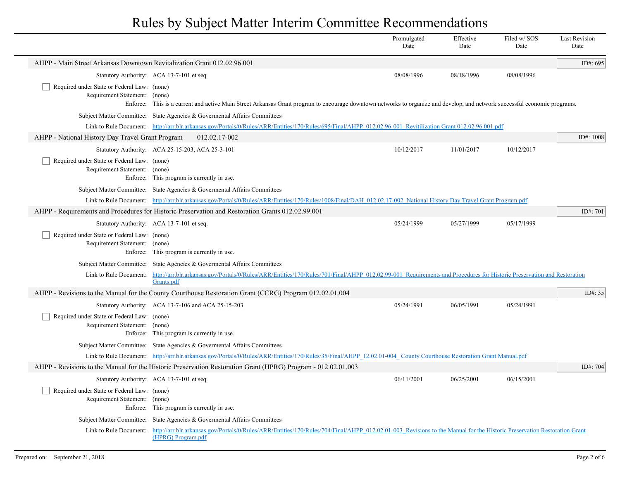|                                                                                                               |                                                                                                                                                                                                            | Promulgated<br>Date | Effective<br>Date | Filed w/SOS<br>Date | <b>Last Revision</b><br>Date |
|---------------------------------------------------------------------------------------------------------------|------------------------------------------------------------------------------------------------------------------------------------------------------------------------------------------------------------|---------------------|-------------------|---------------------|------------------------------|
| AHPP - Main Street Arkansas Downtown Revitalization Grant 012.02.96.001                                       |                                                                                                                                                                                                            |                     |                   |                     | ID#: 695                     |
|                                                                                                               | Statutory Authority: ACA 13-7-101 et seq.                                                                                                                                                                  | 08/08/1996          | 08/18/1996        | 08/08/1996          |                              |
| Required under State or Federal Law: (none)<br>Requirement Statement: (none)                                  | Enforce: This is a current and active Main Street Arkansas Grant program to encourage downtown networks to organize and develop, and network successful economic programs.                                 |                     |                   |                     |                              |
|                                                                                                               | Subject Matter Committee: State Agencies & Governental Affairs Committees                                                                                                                                  |                     |                   |                     |                              |
|                                                                                                               | Link to Rule Document: http://arr.blr.arkansas.gov/Portals/0/Rules/ARR/Entities/170/Rules/695/Final/AHPP 012.02.96-001 Revitilization Grant 012.02.96.001.pdf                                              |                     |                   |                     |                              |
| AHPP - National History Day Travel Grant Program                                                              | 012.02.17-002                                                                                                                                                                                              |                     |                   |                     | ID#: $1008$                  |
|                                                                                                               | Statutory Authority: ACA 25-15-203, ACA 25-3-101                                                                                                                                                           | 10/12/2017          | 11/01/2017        | 10/12/2017          |                              |
| Required under State or Federal Law: (none)<br>Requirement Statement: (none)                                  | Enforce: This program is currently in use.                                                                                                                                                                 |                     |                   |                     |                              |
|                                                                                                               | Subject Matter Committee: State Agencies & Governental Affairs Committees                                                                                                                                  |                     |                   |                     |                              |
|                                                                                                               | Link to Rule Document: http://arr.blr.arkansas.gov/Portals/0/Rules/ARR/Entities/170/Rules/1008/Final/DAH 012.02.17-002 National History Day Travel Grant Program.pdf                                       |                     |                   |                     |                              |
|                                                                                                               | AHPP - Requirements and Procedures for Historic Preservation and Restoration Grants 012.02.99.001                                                                                                          |                     |                   |                     | ID#: 701                     |
|                                                                                                               | Statutory Authority: ACA 13-7-101 et seq.                                                                                                                                                                  | 05/24/1999          | 05/27/1999        | 05/17/1999          |                              |
| Required under State or Federal Law: (none)<br>Requirement Statement: (none)                                  | Enforce: This program is currently in use.                                                                                                                                                                 |                     |                   |                     |                              |
|                                                                                                               | Subject Matter Committee: State Agencies & Governental Affairs Committees                                                                                                                                  |                     |                   |                     |                              |
|                                                                                                               | Link to Rule Document: http://arr.blr.arkansas.gov/Portals/0/Rules/ARR/Entities/170/Rules/701/Final/AHPP 012.02.99-001 Requirements and Procedures for Historic Preservation and Restoration<br>Grants.pdf |                     |                   |                     |                              |
|                                                                                                               | AHPP - Revisions to the Manual for the County Courthouse Restoration Grant (CCRG) Program 012.02.01.004                                                                                                    |                     |                   |                     | ID#: 35                      |
|                                                                                                               | Statutory Authority: ACA 13-7-106 and ACA 25-15-203                                                                                                                                                        | 05/24/1991          | 06/05/1991        | 05/24/1991          |                              |
| Required under State or Federal Law: (none)<br>Requirement Statement: (none)                                  | Enforce: This program is currently in use.                                                                                                                                                                 |                     |                   |                     |                              |
|                                                                                                               | Subject Matter Committee: State Agencies & Governental Affairs Committees                                                                                                                                  |                     |                   |                     |                              |
|                                                                                                               | Link to Rule Document: http://arr.blr.arkansas.gov/Portals/0/Rules/ARR/Entities/170/Rules/35/Final/AHPP 12.02.01-004 County Courthouse Restoration Grant Manual.pdf                                        |                     |                   |                     |                              |
| AHPP - Revisions to the Manual for the Historic Preservation Restoration Grant (HPRG) Program - 012.02.01.003 |                                                                                                                                                                                                            |                     |                   |                     | ID#: 704                     |
|                                                                                                               | Statutory Authority: ACA 13-7-101 et seq.                                                                                                                                                                  | 06/11/2001          | 06/25/2001        | 06/15/2001          |                              |
| Required under State or Federal Law: (none)<br>Requirement Statement: (none)                                  | Enforce: This program is currently in use.                                                                                                                                                                 |                     |                   |                     |                              |
| <b>Subject Matter Committee:</b>                                                                              | State Agencies & Govermental Affairs Committees                                                                                                                                                            |                     |                   |                     |                              |
| Link to Rule Document:                                                                                        | http://arr.blr.arkansas.gov/Portals/0/Rules/ARR/Entities/170/Rules/704/Final/AHPP 012.02.01-003 Revisions to the Manual for the Historic Preservation Restoration Grant<br>(HPRG) Program.pdf              |                     |                   |                     |                              |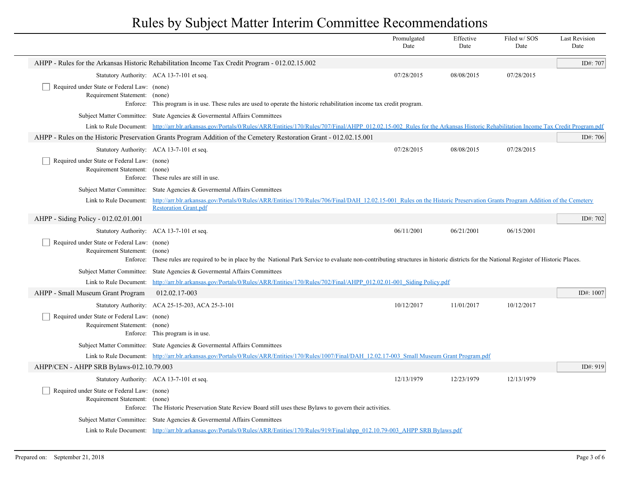|                                                                                   |                                                                                                                                                                                                                                 | Promulgated<br>Date | Effective<br>Date | Filed w/SOS<br>Date | <b>Last Revision</b><br>Date |
|-----------------------------------------------------------------------------------|---------------------------------------------------------------------------------------------------------------------------------------------------------------------------------------------------------------------------------|---------------------|-------------------|---------------------|------------------------------|
|                                                                                   | AHPP - Rules for the Arkansas Historic Rehabilitation Income Tax Credit Program - 012.02.15.002                                                                                                                                 |                     |                   |                     | ID#: 707                     |
|                                                                                   | Statutory Authority: ACA 13-7-101 et seq.                                                                                                                                                                                       | 07/28/2015          | 08/08/2015        | 07/28/2015          |                              |
| Required under State or Federal Law: (none)<br>Requirement Statement:             | (none)<br>Enforce: This program is in use. These rules are used to operate the historic rehabilitation income tax credit program.                                                                                               |                     |                   |                     |                              |
|                                                                                   | Subject Matter Committee: State Agencies & Governental Affairs Committees                                                                                                                                                       |                     |                   |                     |                              |
|                                                                                   | Link to Rule Document: http://arr.blr.arkansas.gov/Portals/0/Rules/ARR/Entities/170/Rules/707/Final/AHPP 012.02.15-002 Rules for the Arkansas Historic Rehabilitation Income Tax Credit Program.pdf                             |                     |                   |                     |                              |
|                                                                                   | AHPP - Rules on the Historic Preservation Grants Program Addition of the Cemetery Restoration Grant - 012.02.15.001                                                                                                             |                     |                   |                     | ID#: 706                     |
|                                                                                   | Statutory Authority: ACA 13-7-101 et seq.                                                                                                                                                                                       | 07/28/2015          | 08/08/2015        | 07/28/2015          |                              |
| Required under State or Federal Law: (none)<br>Requirement Statement: (none)      | Enforce: These rules are still in use.                                                                                                                                                                                          |                     |                   |                     |                              |
|                                                                                   | Subject Matter Committee: State Agencies & Governental Affairs Committees                                                                                                                                                       |                     |                   |                     |                              |
|                                                                                   | Link to Rule Document: http://arr.blr.arkansas.gov/Portals/0/Rules/ARR/Entities/170/Rules/706/Final/DAH 12.02.15-001 Rules on the Historic Preservation Grants Program Addition of the Cemetery<br><b>Restoration Grant.pdf</b> |                     |                   |                     |                              |
| AHPP - Siding Policy - 012.02.01.001                                              |                                                                                                                                                                                                                                 |                     |                   |                     | ID#: 702                     |
|                                                                                   | Statutory Authority: ACA 13-7-101 et seq.                                                                                                                                                                                       | 06/11/2001          | 06/21/2001        | 06/15/2001          |                              |
| Required under State or Federal Law: (none)<br>Requirement Statement:<br>Enforce: | (none)<br>These rules are required to be in place by the National Park Service to evaluate non-contributing structures in historic districts for the National Register of Historic Places.                                      |                     |                   |                     |                              |
|                                                                                   | Subject Matter Committee: State Agencies & Governental Affairs Committees                                                                                                                                                       |                     |                   |                     |                              |
| Link to Rule Document:                                                            | http://arr.blr.arkansas.gov/Portals/0/Rules/ARR/Entities/170/Rules/702/Final/AHPP 012.02.01-001 Siding Policy.pdf                                                                                                               |                     |                   |                     |                              |
| AHPP - Small Museum Grant Program                                                 | 012.02.17-003                                                                                                                                                                                                                   |                     |                   |                     | ID#: 1007                    |
|                                                                                   | Statutory Authority: ACA 25-15-203, ACA 25-3-101                                                                                                                                                                                | 10/12/2017          | 11/01/2017        | 10/12/2017          |                              |
| Required under State or Federal Law: (none)<br>Requirement Statement: (none)      | Enforce: This program is in use.                                                                                                                                                                                                |                     |                   |                     |                              |
|                                                                                   | Subject Matter Committee: State Agencies & Governental Affairs Committees                                                                                                                                                       |                     |                   |                     |                              |
|                                                                                   | Link to Rule Document: http://arr.blr.arkansas.gov/Portals/0/Rules/ARR/Entities/170/Rules/1007/Final/DAH 12.02.17-003 Small Museum Grant Program.pdf                                                                            |                     |                   |                     |                              |
| AHPP/CEN - AHPP SRB Bylaws-012.10.79.003                                          |                                                                                                                                                                                                                                 |                     |                   |                     | ID#: 919                     |
|                                                                                   | Statutory Authority: ACA 13-7-101 et seq.                                                                                                                                                                                       | 12/13/1979          | 12/23/1979        | 12/13/1979          |                              |
| Required under State or Federal Law: (none)<br>Requirement Statement:             | (none)<br>Enforce: The Historic Preservation State Review Board still uses these Bylaws to govern their activities.                                                                                                             |                     |                   |                     |                              |
|                                                                                   | Subject Matter Committee: State Agencies & Governental Affairs Committees                                                                                                                                                       |                     |                   |                     |                              |
|                                                                                   | Link to Rule Document: http://arr.blr.arkansas.gov/Portals/0/Rules/ARR/Entities/170/Rules/919/Final/ahpp 012.10.79-003 AHPP SRB Bylaws.pdf                                                                                      |                     |                   |                     |                              |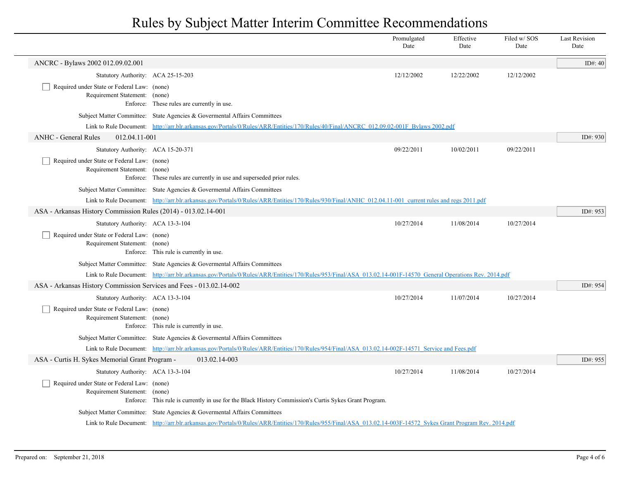|                                                                                                                   |                                                                                                                                                                | Promulgated<br>Date | Effective<br>Date | Filed w/SOS<br>Date | <b>Last Revision</b><br>Date |
|-------------------------------------------------------------------------------------------------------------------|----------------------------------------------------------------------------------------------------------------------------------------------------------------|---------------------|-------------------|---------------------|------------------------------|
| ANCRC - Bylaws 2002 012.09.02.001                                                                                 |                                                                                                                                                                |                     |                   |                     | ID#: 40                      |
| Statutory Authority: ACA 25-15-203                                                                                |                                                                                                                                                                | 12/12/2002          | 12/22/2002        | 12/12/2002          |                              |
| Required under State or Federal Law: (none)<br>Requirement Statement: (none)                                      | Enforce: These rules are currently in use.                                                                                                                     |                     |                   |                     |                              |
|                                                                                                                   | Subject Matter Committee: State Agencies & Governental Affairs Committees                                                                                      |                     |                   |                     |                              |
|                                                                                                                   | Link to Rule Document: http://arr.blr.arkansas.gov/Portals/0/Rules/ARR/Entities/170/Rules/40/Final/ANCRC 012.09.02-001F Bylaws 2002.pdf                        |                     |                   |                     |                              |
| <b>ANHC - General Rules</b><br>012.04.11-001                                                                      |                                                                                                                                                                |                     |                   |                     | ID#: 930                     |
| Statutory Authority: ACA 15-20-371                                                                                |                                                                                                                                                                | 09/22/2011          | 10/02/2011        | 09/22/2011          |                              |
| Required under State or Federal Law: (none)<br>Requirement Statement: (none)                                      | Enforce: These rules are currently in use and superseded prior rules.                                                                                          |                     |                   |                     |                              |
|                                                                                                                   | Subject Matter Committee: State Agencies & Governental Affairs Committees                                                                                      |                     |                   |                     |                              |
|                                                                                                                   | Link to Rule Document: http://arr.blr.arkansas.gov/Portals/0/Rules/ARR/Entities/170/Rules/930/Final/ANHC 012.04.11-001 current rules and regs 2011.pdf         |                     |                   |                     |                              |
| ASA - Arkansas History Commission Rules (2014) - 013.02.14-001                                                    |                                                                                                                                                                |                     |                   |                     | ID#: 953                     |
| Statutory Authority: ACA 13-3-104<br>Required under State or Federal Law: (none)<br>Requirement Statement: (none) | Enforce: This rule is currently in use.                                                                                                                        | 10/27/2014          | 11/08/2014        | 10/27/2014          |                              |
|                                                                                                                   | Subject Matter Committee: State Agencies & Governental Affairs Committees                                                                                      |                     |                   |                     |                              |
|                                                                                                                   | Link to Rule Document: http://arr.blr.arkansas.gov/Portals/0/Rules/ARR/Entities/170/Rules/953/Final/ASA 013.02.14-001F-14570 General Operations Rev. 2014.pdf  |                     |                   |                     |                              |
| ASA - Arkansas History Commission Services and Fees - 013.02.14-002                                               |                                                                                                                                                                |                     |                   |                     | ID#: 954                     |
| Statutory Authority: ACA 13-3-104                                                                                 |                                                                                                                                                                | 10/27/2014          | 11/07/2014        | 10/27/2014          |                              |
| Required under State or Federal Law: (none)<br>Requirement Statement: (none)                                      | Enforce: This rule is currently in use.                                                                                                                        |                     |                   |                     |                              |
|                                                                                                                   | Subject Matter Committee: State Agencies & Governental Affairs Committees                                                                                      |                     |                   |                     |                              |
|                                                                                                                   | Link to Rule Document: http://arr.blr.arkansas.gov/Portals/0/Rules/ARR/Entities/170/Rules/954/Final/ASA 013.02.14-002F-14571 Service and Fees.pdf              |                     |                   |                     |                              |
| ASA - Curtis H. Sykes Memorial Grant Program -                                                                    | 013.02.14-003                                                                                                                                                  |                     |                   |                     | ID#: 955                     |
| Statutory Authority: ACA 13-3-104                                                                                 |                                                                                                                                                                | 10/27/2014          | 11/08/2014        | 10/27/2014          |                              |
| Required under State or Federal Law: (none)<br>Requirement Statement: (none)                                      | Enforce: This rule is currently in use for the Black History Commission's Curtis Sykes Grant Program.                                                          |                     |                   |                     |                              |
|                                                                                                                   | Subject Matter Committee: State Agencies & Governental Affairs Committees                                                                                      |                     |                   |                     |                              |
|                                                                                                                   | Link to Rule Document: http://arr.blr.arkansas.gov/Portals/0/Rules/ARR/Entities/170/Rules/955/Final/ASA 013.02.14-003F-14572 Sykes Grant Program Rev. 2014.pdf |                     |                   |                     |                              |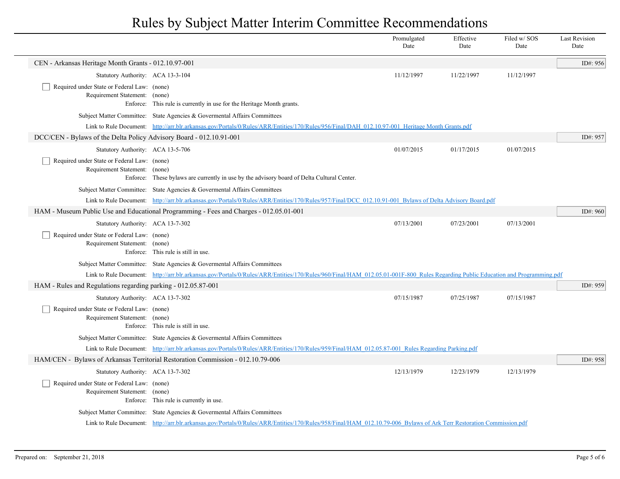|                                                                              |                                                                                                                                                                                 | Promulgated<br>Date | Effective<br>Date | Filed w/SOS<br>Date | <b>Last Revision</b><br>Date |
|------------------------------------------------------------------------------|---------------------------------------------------------------------------------------------------------------------------------------------------------------------------------|---------------------|-------------------|---------------------|------------------------------|
| CEN - Arkansas Heritage Month Grants - 012.10.97-001                         |                                                                                                                                                                                 |                     |                   |                     | ID#: 956                     |
| Statutory Authority: ACA 13-3-104                                            |                                                                                                                                                                                 | 11/12/1997          | 11/22/1997        | 11/12/1997          |                              |
| Required under State or Federal Law: (none)<br>Requirement Statement: (none) | Enforce: This rule is currently in use for the Heritage Month grants.                                                                                                           |                     |                   |                     |                              |
|                                                                              | Subject Matter Committee: State Agencies & Governental Affairs Committees                                                                                                       |                     |                   |                     |                              |
|                                                                              | Link to Rule Document: http://arr.blr.arkansas.gov/Portals/0/Rules/ARR/Entities/170/Rules/956/Final/DAH 012.10.97-001 Heritage Month Grants.pdf                                 |                     |                   |                     |                              |
| DCC/CEN - Bylaws of the Delta Policy Advisory Board - 012.10.91-001          |                                                                                                                                                                                 |                     |                   |                     | ID#: 957                     |
| Statutory Authority: ACA 13-5-706                                            |                                                                                                                                                                                 | 01/07/2015          | 01/17/2015        | 01/07/2015          |                              |
| Required under State or Federal Law: (none)<br>Requirement Statement: (none) | Enforce: These bylaws are currently in use by the advisory board of Delta Cultural Center.                                                                                      |                     |                   |                     |                              |
|                                                                              | Subject Matter Committee: State Agencies & Governental Affairs Committees                                                                                                       |                     |                   |                     |                              |
|                                                                              | Link to Rule Document: http://arr.blr.arkansas.gov/Portals/0/Rules/ARR/Entities/170/Rules/957/Final/DCC 012.10.91-001 Bylaws of Delta Advisory Board.pdf                        |                     |                   |                     |                              |
|                                                                              | HAM - Museum Public Use and Educational Programming - Fees and Charges - 012.05.01-001                                                                                          |                     |                   |                     | ID#: $960$                   |
| Statutory Authority: ACA 13-7-302                                            |                                                                                                                                                                                 | 07/13/2001          | 07/23/2001        | 07/13/2001          |                              |
| Required under State or Federal Law: (none)<br>Requirement Statement: (none) | Enforce: This rule is still in use.                                                                                                                                             |                     |                   |                     |                              |
|                                                                              | Subject Matter Committee: State Agencies & Governental Affairs Committees                                                                                                       |                     |                   |                     |                              |
|                                                                              | Link to Rule Document: http://arr.blr.arkansas.gov/Portals/0/Rules/ARR/Entities/170/Rules/960/Final/HAM 012.05.01-001F-800 Rules Regarding Public Education and Programming.pdf |                     |                   |                     |                              |
| HAM - Rules and Regulations regarding parking - 012.05.87-001                |                                                                                                                                                                                 |                     |                   |                     | ID#: $959$                   |
| Statutory Authority: ACA 13-7-302                                            |                                                                                                                                                                                 | 07/15/1987          | 07/25/1987        | 07/15/1987          |                              |
| Required under State or Federal Law: (none)<br>Requirement Statement: (none) | Enforce: This rule is still in use.                                                                                                                                             |                     |                   |                     |                              |
|                                                                              | Subject Matter Committee: State Agencies & Governental Affairs Committees                                                                                                       |                     |                   |                     |                              |
|                                                                              | Link to Rule Document: http://arr.blr.arkansas.gov/Portals/0/Rules/ARR/Entities/170/Rules/959/Final/HAM 012.05.87-001 Rules Regarding Parking.pdf                               |                     |                   |                     |                              |
|                                                                              | HAM/CEN - Bylaws of Arkansas Territorial Restoration Commission - 012.10.79-006                                                                                                 |                     |                   |                     | ID#: 958                     |
| Statutory Authority: ACA 13-7-302                                            |                                                                                                                                                                                 | 12/13/1979          | 12/23/1979        | 12/13/1979          |                              |
| Required under State or Federal Law: (none)<br>Requirement Statement: (none) | Enforce: This rule is currently in use.                                                                                                                                         |                     |                   |                     |                              |
|                                                                              | Subject Matter Committee: State Agencies & Governental Affairs Committees                                                                                                       |                     |                   |                     |                              |
|                                                                              | Link to Rule Document: http://arr.blr.arkansas.gov/Portals/0/Rules/ARR/Entities/170/Rules/958/Final/HAM 012.10.79-006 Bylaws of Ark Terr Restoration Commission.pdf             |                     |                   |                     |                              |